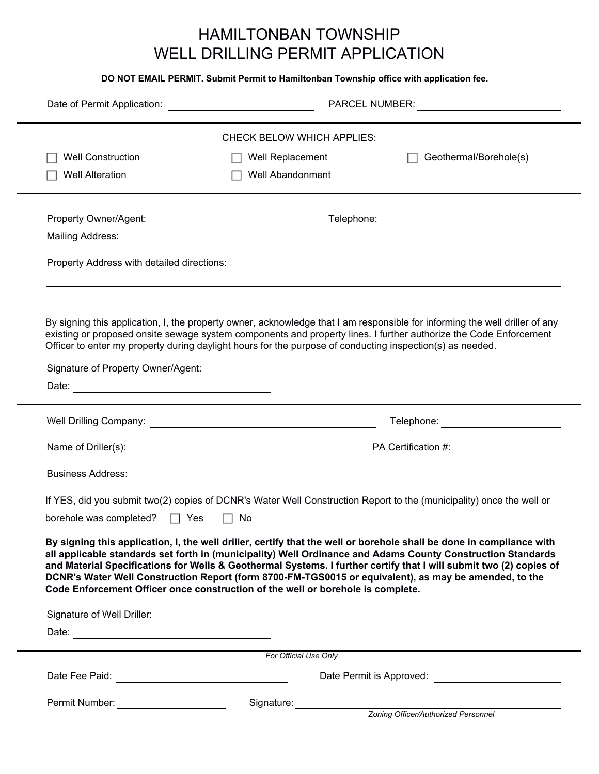## HAMILTONBAN TOWNSHIP WELL DRILLING PERMIT APPLICATION

**DO NOT EMAIL PERMIT. Submit Permit to Hamiltonban Township office with application fee.**

|                                   | Date of Permit Application: ________________________________                                                                                                                                                                                                                                                                                                                                                                                                                                                                                                                                                                                                                                                                     |                  |  | PARCEL NUMBER: <u>____________________________</u> |  |
|-----------------------------------|----------------------------------------------------------------------------------------------------------------------------------------------------------------------------------------------------------------------------------------------------------------------------------------------------------------------------------------------------------------------------------------------------------------------------------------------------------------------------------------------------------------------------------------------------------------------------------------------------------------------------------------------------------------------------------------------------------------------------------|------------------|--|----------------------------------------------------|--|
| <b>CHECK BELOW WHICH APPLIES:</b> |                                                                                                                                                                                                                                                                                                                                                                                                                                                                                                                                                                                                                                                                                                                                  |                  |  |                                                    |  |
|                                   | <b>Well Construction</b>                                                                                                                                                                                                                                                                                                                                                                                                                                                                                                                                                                                                                                                                                                         | Well Replacement |  | Geothermal/Borehole(s)                             |  |
|                                   | <b>Well Alteration</b>                                                                                                                                                                                                                                                                                                                                                                                                                                                                                                                                                                                                                                                                                                           | Well Abandonment |  |                                                    |  |
|                                   |                                                                                                                                                                                                                                                                                                                                                                                                                                                                                                                                                                                                                                                                                                                                  |                  |  |                                                    |  |
|                                   |                                                                                                                                                                                                                                                                                                                                                                                                                                                                                                                                                                                                                                                                                                                                  |                  |  |                                                    |  |
|                                   | By signing this application, I, the property owner, acknowledge that I am responsible for informing the well driller of any<br>existing or proposed onsite sewage system components and property lines. I further authorize the Code Enforcement<br>Officer to enter my property during daylight hours for the purpose of conducting inspection(s) as needed.                                                                                                                                                                                                                                                                                                                                                                    |                  |  |                                                    |  |
|                                   |                                                                                                                                                                                                                                                                                                                                                                                                                                                                                                                                                                                                                                                                                                                                  |                  |  |                                                    |  |
|                                   |                                                                                                                                                                                                                                                                                                                                                                                                                                                                                                                                                                                                                                                                                                                                  |                  |  |                                                    |  |
|                                   |                                                                                                                                                                                                                                                                                                                                                                                                                                                                                                                                                                                                                                                                                                                                  |                  |  | Telephone: _______________________                 |  |
|                                   |                                                                                                                                                                                                                                                                                                                                                                                                                                                                                                                                                                                                                                                                                                                                  |                  |  | PA Certification #: _____________________          |  |
|                                   |                                                                                                                                                                                                                                                                                                                                                                                                                                                                                                                                                                                                                                                                                                                                  |                  |  |                                                    |  |
|                                   | If YES, did you submit two(2) copies of DCNR's Water Well Construction Report to the (municipality) once the well or<br>borehole was completed? $\Box$ Yes<br>$\Box$ No<br>By signing this application, I, the well driller, certify that the well or borehole shall be done in compliance with<br>all applicable standards set forth in (municipality) Well Ordinance and Adams County Construction Standards<br>and Material Specifications for Wells & Geothermal Systems. I further certify that I will submit two (2) copies of<br>DCNR's Water Well Construction Report (form 8700-FM-TGS0015 or equivalent), as may be amended, to the<br>Code Enforcement Officer once construction of the well or borehole is complete. |                  |  |                                                    |  |
|                                   |                                                                                                                                                                                                                                                                                                                                                                                                                                                                                                                                                                                                                                                                                                                                  |                  |  |                                                    |  |
|                                   |                                                                                                                                                                                                                                                                                                                                                                                                                                                                                                                                                                                                                                                                                                                                  |                  |  |                                                    |  |
|                                   |                                                                                                                                                                                                                                                                                                                                                                                                                                                                                                                                                                                                                                                                                                                                  |                  |  |                                                    |  |
| For Official Use Only             |                                                                                                                                                                                                                                                                                                                                                                                                                                                                                                                                                                                                                                                                                                                                  |                  |  |                                                    |  |
|                                   |                                                                                                                                                                                                                                                                                                                                                                                                                                                                                                                                                                                                                                                                                                                                  |                  |  |                                                    |  |
|                                   | Permit Number:                                                                                                                                                                                                                                                                                                                                                                                                                                                                                                                                                                                                                                                                                                                   | Signature:       |  | Zoning Officer/Authorized Personnel                |  |
|                                   |                                                                                                                                                                                                                                                                                                                                                                                                                                                                                                                                                                                                                                                                                                                                  |                  |  |                                                    |  |